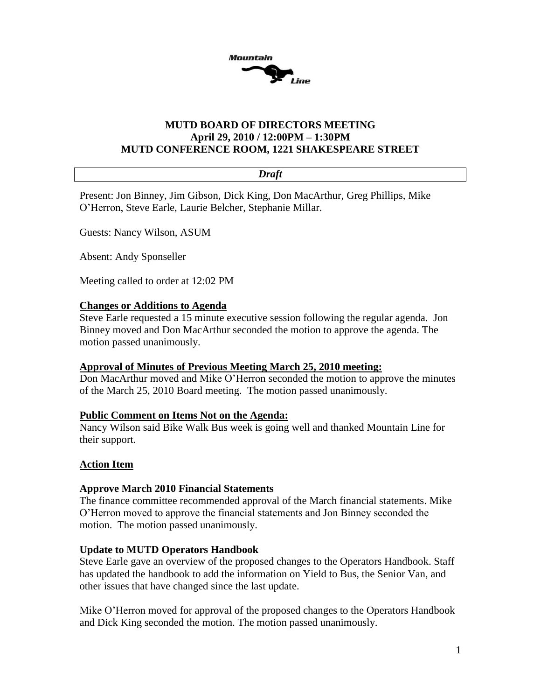

## **MUTD BOARD OF DIRECTORS MEETING April 29, 2010 / 12:00PM – 1:30PM MUTD CONFERENCE ROOM, 1221 SHAKESPEARE STREET**

#### *Draft*

Present: Jon Binney, Jim Gibson, Dick King, Don MacArthur, Greg Phillips, Mike O'Herron, Steve Earle, Laurie Belcher, Stephanie Millar.

Guests: Nancy Wilson, ASUM

Absent: Andy Sponseller

Meeting called to order at 12:02 PM

#### **Changes or Additions to Agenda**

Steve Earle requested a 15 minute executive session following the regular agenda. Jon Binney moved and Don MacArthur seconded the motion to approve the agenda. The motion passed unanimously.

### **Approval of Minutes of Previous Meeting March 25, 2010 meeting:**

Don MacArthur moved and Mike O'Herron seconded the motion to approve the minutes of the March 25, 2010 Board meeting. The motion passed unanimously.

#### **Public Comment on Items Not on the Agenda:**

Nancy Wilson said Bike Walk Bus week is going well and thanked Mountain Line for their support.

### **Action Item**

#### **Approve March 2010 Financial Statements**

The finance committee recommended approval of the March financial statements. Mike O'Herron moved to approve the financial statements and Jon Binney seconded the motion. The motion passed unanimously.

#### **Update to MUTD Operators Handbook**

Steve Earle gave an overview of the proposed changes to the Operators Handbook. Staff has updated the handbook to add the information on Yield to Bus, the Senior Van, and other issues that have changed since the last update.

Mike O'Herron moved for approval of the proposed changes to the Operators Handbook and Dick King seconded the motion. The motion passed unanimously.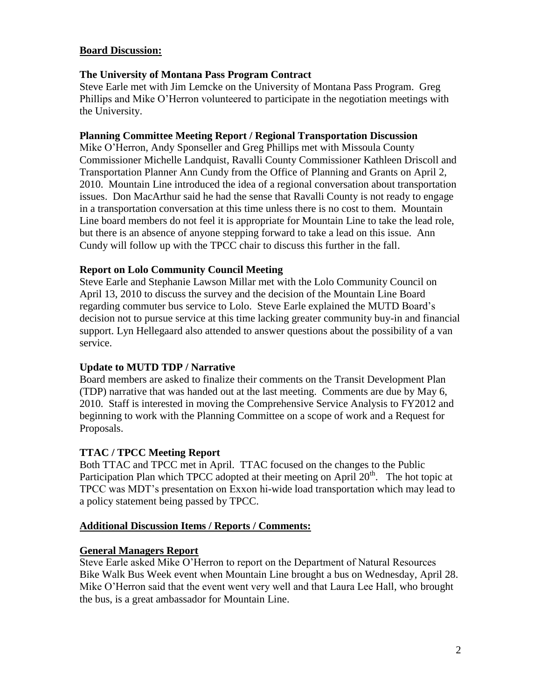## **Board Discussion:**

## **The University of Montana Pass Program Contract**

Steve Earle met with Jim Lemcke on the University of Montana Pass Program. Greg Phillips and Mike O'Herron volunteered to participate in the negotiation meetings with the University.

## **Planning Committee Meeting Report / Regional Transportation Discussion**

Mike O'Herron, Andy Sponseller and Greg Phillips met with Missoula County Commissioner Michelle Landquist, Ravalli County Commissioner Kathleen Driscoll and Transportation Planner Ann Cundy from the Office of Planning and Grants on April 2, 2010. Mountain Line introduced the idea of a regional conversation about transportation issues. Don MacArthur said he had the sense that Ravalli County is not ready to engage in a transportation conversation at this time unless there is no cost to them. Mountain Line board members do not feel it is appropriate for Mountain Line to take the lead role, but there is an absence of anyone stepping forward to take a lead on this issue. Ann Cundy will follow up with the TPCC chair to discuss this further in the fall.

## **Report on Lolo Community Council Meeting**

Steve Earle and Stephanie Lawson Millar met with the Lolo Community Council on April 13, 2010 to discuss the survey and the decision of the Mountain Line Board regarding commuter bus service to Lolo. Steve Earle explained the MUTD Board's decision not to pursue service at this time lacking greater community buy-in and financial support. Lyn Hellegaard also attended to answer questions about the possibility of a van service.

## **Update to MUTD TDP / Narrative**

Board members are asked to finalize their comments on the Transit Development Plan (TDP) narrative that was handed out at the last meeting. Comments are due by May 6, 2010. Staff is interested in moving the Comprehensive Service Analysis to FY2012 and beginning to work with the Planning Committee on a scope of work and a Request for Proposals.

## **TTAC / TPCC Meeting Report**

Both TTAC and TPCC met in April. TTAC focused on the changes to the Public Participation Plan which TPCC adopted at their meeting on April  $20<sup>th</sup>$ . The hot topic at TPCC was MDT's presentation on Exxon hi-wide load transportation which may lead to a policy statement being passed by TPCC.

### **Additional Discussion Items / Reports / Comments:**

### **General Managers Report**

Steve Earle asked Mike O'Herron to report on the Department of Natural Resources Bike Walk Bus Week event when Mountain Line brought a bus on Wednesday, April 28. Mike O'Herron said that the event went very well and that Laura Lee Hall, who brought the bus, is a great ambassador for Mountain Line.